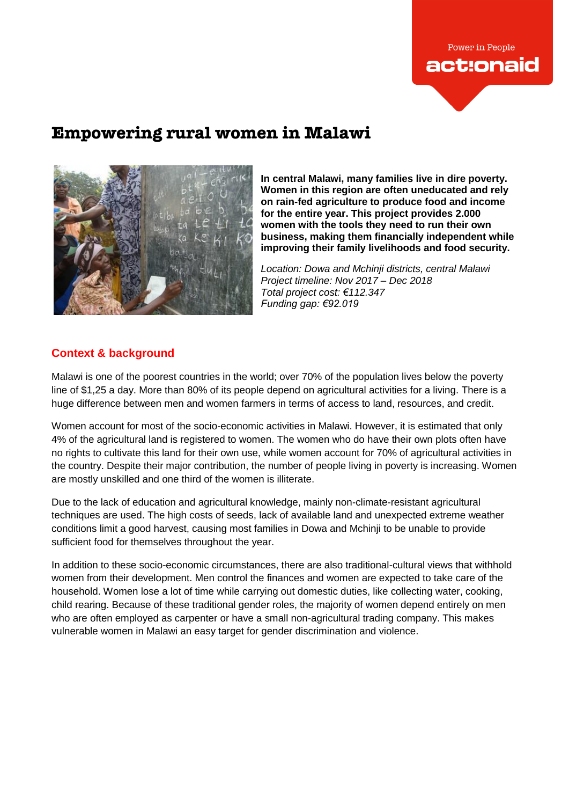

# **Empowering rural women in Malawi**



**In central Malawi, many families live in dire poverty. Women in this region are often uneducated and rely on rain-fed agriculture to produce food and income for the entire year. This project provides 2.000 women with the tools they need to run their own business, making them financially independent while improving their family livelihoods and food security.**

*Location: Dowa and Mchinji districts, central Malawi Project timeline: Nov 2017 – Dec 2018 Total project cost: €112.347 Funding gap: €92.019*

# **Context & background**

Malawi is one of the poorest countries in the world; over 70% of the population lives below the poverty line of \$1,25 a day. More than 80% of its people depend on agricultural activities for a living. There is a huge difference between men and women farmers in terms of access to land, resources, and credit.

Women account for most of the socio-economic activities in Malawi. However, it is estimated that only 4% of the agricultural land is registered to women. The women who do have their own plots often have no rights to cultivate this land for their own use, while women account for 70% of agricultural activities in the country. Despite their major contribution, the number of people living in poverty is increasing. Women are mostly unskilled and one third of the women is illiterate.

Due to the lack of education and agricultural knowledge, mainly non-climate-resistant agricultural techniques are used. The high costs of seeds, lack of available land and unexpected extreme weather conditions limit a good harvest, causing most families in Dowa and Mchinji to be unable to provide sufficient food for themselves throughout the year.

In addition to these socio-economic circumstances, there are also traditional-cultural views that withhold women from their development. Men control the finances and women are expected to take care of the household. Women lose a lot of time while carrying out domestic duties, like collecting water, cooking, child rearing. Because of these traditional gender roles, the majority of women depend entirely on men who are often employed as carpenter or have a small non-agricultural trading company. This makes vulnerable women in Malawi an easy target for gender discrimination and violence.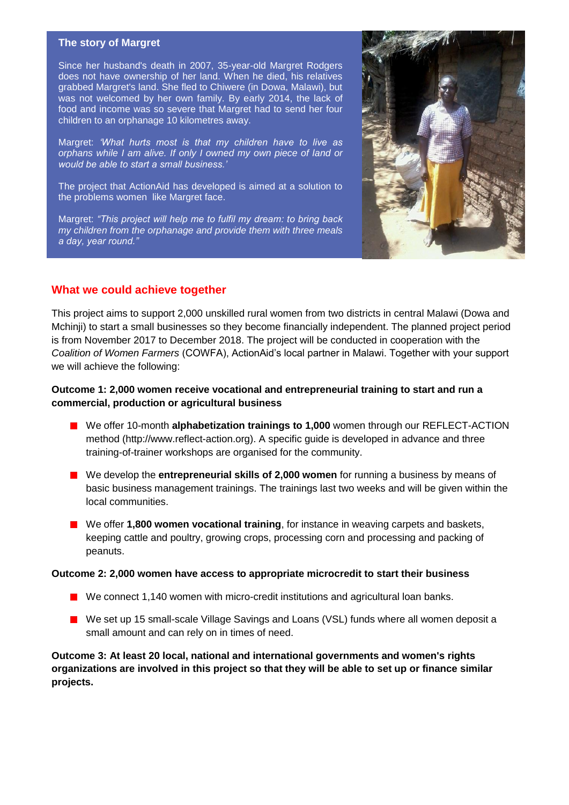#### **The story of Margret**

Since her husband's death in 2007, 35-year-old Margret Rodgers does not have ownership of her land. When he died, his relatives grabbed Margret's land. She fled to Chiwere (in Dowa, Malawi), but was not welcomed by her own family. By early 2014, the lack of food and income was so severe that Margret had to send her four children to an orphanage 10 kilometres away.

Margret: *'What hurts most is that my children have to live as orphans while I am alive. If only I owned my own piece of land or would be able to start a small business.'*

The project that ActionAid has developed is aimed at a solution to the problems women like Margret face.

Margret: *"This project will help me to fulfil my dream: to bring back my children from the orphanage and provide them with three meals a day, year round."*



### **What we could achieve together**

This project aims to support 2,000 unskilled rural women from two districts in central Malawi (Dowa and Mchinji) to start a small businesses so they become financially independent. The planned project period is from November 2017 to December 2018. The project will be conducted in cooperation with the *Coalition of Women Farmers* (COWFA), ActionAid's local partner in Malawi. Together with your support we will achieve the following:

### **Outcome 1: 2,000 women receive vocational and entrepreneurial training to start and run a commercial, production or agricultural business**

- We offer 10-month **alphabetization trainings to 1,000** women through our REFLECT-ACTION method (http://www.reflect-action.org). A specific guide is developed in advance and three training-of-trainer workshops are organised for the community.
- We develop the **entrepreneurial skills of 2,000 women** for running a business by means of basic business management trainings. The trainings last two weeks and will be given within the local communities.
- We offer **1,800 women vocational training**, for instance in weaving carpets and baskets, keeping cattle and poultry, growing crops, processing corn and processing and packing of peanuts.

#### **Outcome 2: 2,000 women have access to appropriate microcredit to start their business**

- We connect 1,140 women with micro-credit institutions and agricultural loan banks.
- We set up 15 small-scale Village Savings and Loans (VSL) funds where all women deposit a small amount and can rely on in times of need.

**Outcome 3: At least 20 local, national and international governments and women's rights organizations are involved in this project so that they will be able to set up or finance similar projects.**